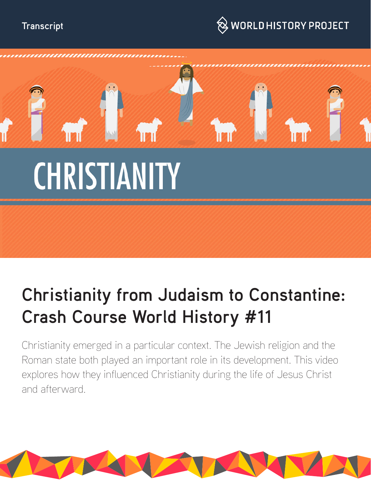### **Transcript**





# **Christianity from Judaism to Constantine: Crash Course World History #11**

Christianity emerged in a particular context. The Jewish religion and the Roman state both played an important role in its development. This video explores how they influenced Christianity during the life of Jesus Christ and afterward.

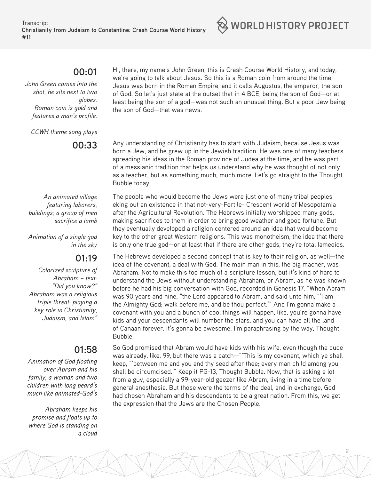#### **00:01**

*John Green comes into the shot, he sits next to two globes. Roman coin is gold and features a man's profile.*

*CCWH theme song plays*

**00:33** 

*An animated village featuring laborers, buildings; a group of men sacrifice a lamb*

*Animation of a single god in the sky*

#### **01:19**

*Colorized sculpture of Abraham – text: "Did you know?" Abraham was a religious triple threat: playing a key role in Christianity, Judaism, and Islam"*

## **01:58**

*Animation of God floating over Abram and his family, a woman and two children with long beard's much like animated-God's*

*Abraham keeps his promise and floats up to where God is standing on a cloud* 

Hi, there, my name's John Green, this is Crash Course World History, and today, we're going to talk about Jesus. So this is a Roman coin from around the time Jesus was born in the Roman Empire, and it calls Augustus, the emperor, the son of God. So let's just state at the outset that in 4 BCE, being the son of God—or at least being the son of a god—was not such an unusual thing. But a poor Jew being the son of God—that was news.

Any understanding of Christianity has to start with Judaism, because Jesus was born a Jew, and he grew up in the Jewish tradition. He was one of many teachers spreading his ideas in the Roman province of Judea at the time, and he was part of a messianic tradition that helps us understand why he was thought of not only as a teacher, but as something much, much more. Let's go straight to the Thought Bubble today.

The people who would become the Jews were just one of many tribal peoples eking out an existence in that not-very-Fertile- Crescent world of Mesopotamia after the Agricultural Revolution. The Hebrews initially worshipped many gods, making sacrifices to them in order to bring good weather and good fortune. But they eventually developed a religion centered around an idea that would become key to the other great Western religions. This was monotheism, the idea that there is only one true god—or at least that if there are other gods, they're total lameoids.

The Hebrews developed a second concept that is key to their religion, as well—the idea of the covenant, a deal with God. The main man in this, the big macher, was Abraham. Not to make this too much of a scripture lesson, but it's kind of hard to understand the Jews without understanding Abraham, or Abram, as he was known before he had his big conversation with God, recorded in Genesis 17. "When Abram was 90 years and nine, "the Lord appeared to Abram, and said unto him, "'I am the Almighty God; walk before me, and be thou perfect.'" And I'm gonna make a covenant with you and a bunch of cool things will happen, like, you're gonna have kids and your descendants will number the stars, and you can have all the land of Canaan forever. It's gonna be awesome. I'm paraphrasing by the way, Thought Bubble.

So God promised that Abram would have kids with his wife, even though the dude was already, like, 99, but there was a catch—"'This is my covenant, which ye shall keep, "'between me and you and thy seed after thee; every man child among you shall be circumcised.'" Keep it PG-13, Thought Bubble. Now, that is asking a lot from a guy, especially a 99-year-old geezer like Abram, living in a time before general anesthesia. But those were the terms of the deal, and in exchange, God had chosen Abraham and his descendants to be a great nation. From this, we get the expression that the Jews are the Chosen People.

 $\otimes$  world history project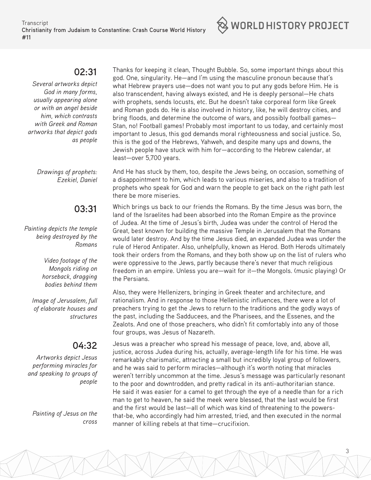#### **02:31**

*Several artworks depict God in many forms, usually appearing alone or with an angel beside him, which contrasts with Greek and Roman artworks that depict gods as people*

> *Drawings of prophets: Ezekiel, Daniel*

#### **03:31**

*Painting depicts the temple being destroyed by the Romans*

> *Video footage of the Mongols riding on horseback, dragging bodies behind them*

*Image of Jerusalem, full of elaborate houses and structures*

#### **04:32**

*Artworks depict Jesus performing miracles for and speaking to groups of people*

*Painting of Jesus on the cross*

Thanks for keeping it clean, Thought Bubble. So, some important things about this god. One, singularity. He—and I'm using the masculine pronoun because that's what Hebrew prayers use—does not want you to put any gods before Him. He is also transcendent, having always existed, and He is deeply personal—He chats with prophets, sends locusts, etc. But he doesn't take corporeal form like Greek and Roman gods do. He is also involved in history, like, he will destroy cities, and bring floods, and determine the outcome of wars, and possibly football games— Stan, no! Football games! Probably most important to us today, and certainly most important to Jesus, this god demands moral righteousness and social justice. So, this is the god of the Hebrews, Yahweh, and despite many ups and downs, the Jewish people have stuck with him for—according to the Hebrew calendar, at least—over 5,700 years.

And He has stuck by them, too, despite the Jews being, on occasion, something of a disappointment to him, which leads to various miseries, and also to a tradition of prophets who speak for God and warn the people to get back on the right path lest there be more miseries.

Which brings us back to our friends the Romans. By the time Jesus was born, the land of the Israelites had been absorbed into the Roman Empire as the province of Judea. At the time of Jesus's birth, Judea was under the control of Herod the Great, best known for building the massive Temple in Jerusalem that the Romans would later destroy. And by the time Jesus died, an expanded Judea was under the rule of Herod Antipater. Also, unhelpfully, known as Herod. Both Herods ultimately took their orders from the Romans, and they both show up on the list of rulers who were oppressive to the Jews, partly because there's never that much religious freedom in an empire. Unless you are—wait for it—the Mongols. (music playing) Or the Persians.

Also, they were Hellenizers, bringing in Greek theater and architecture, and rationalism. And in response to those Hellenistic influences, there were a lot of preachers trying to get the Jews to return to the traditions and the godly ways of the past, including the Sadducees, and the Pharisees, and the Essenes, and the Zealots. And one of those preachers, who didn't fit comfortably into any of those four groups, was Jesus of Nazareth.

Jesus was a preacher who spread his message of peace, love, and, above all, justice, across Judea during his, actually, average-length life for his time. He was remarkably charismatic, attracting a small but incredibly loyal group of followers, and he was said to perform miracles—although it's worth noting that miracles weren't terribly uncommon at the time. Jesus's message was particularly resonant to the poor and downtrodden, and pretty radical in its anti-authoritarian stance. He said it was easier for a camel to get through the eye of a needle than for a rich man to get to heaven, he said the meek were blessed, that the last would be first and the first would be last—all of which was kind of threatening to the powersthat-be, who accordingly had him arrested, tried, and then executed in the normal manner of killing rebels at that time—crucifixion.

 $\otimes$  world history project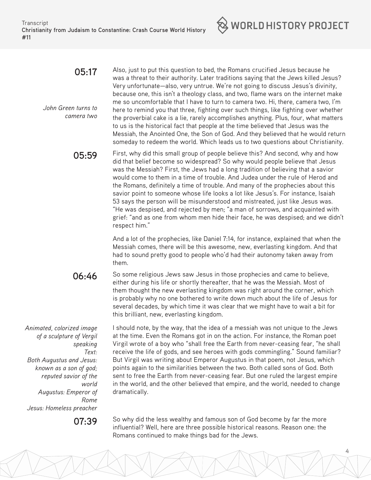

#### **05:17**

*John Green turns to camera two* Also, just to put this question to bed, the Romans crucified Jesus because he was a threat to their authority. Later traditions saying that the Jews killed Jesus? Very unfortunate—also, very untrue. We're not going to discuss Jesus's divinity, because one, this isn't a theology class, and two, flame wars on the internet make me so uncomfortable that I have to turn to camera two. Hi, there, camera two, I'm here to remind you that three, fighting over such things, like fighting over whether the proverbial cake is a lie, rarely accomplishes anything. Plus, four, what matters to us is the historical fact that people at the time believed that Jesus was the Messiah, the Anointed One, the Son of God. And they believed that he would return someday to redeem the world. Which leads us to two questions about Christianity.

**05:59** First, why did this small group of people believe this? And second, why and how did that belief become so widespread? So why would people believe that Jesus was the Messiah? First, the Jews had a long tradition of believing that a savior would come to them in a time of trouble. And Judea under the rule of Herod and the Romans, definitely a time of trouble. And many of the prophecies about this savior point to someone whose life looks a lot like Jesus's. For instance, Isaiah 53 says the person will be misunderstood and mistreated, just like Jesus was. "He was despised, and rejected by men; "a man of sorrows, and acquainted with grief: "and as one from whom men hide their face, he was despised; and we didn't respect him."

> And a lot of the prophecies, like Daniel 7:14, for instance, explained that when the Messiah comes, there will be this awesome, new, everlasting kingdom. And that had to sound pretty good to people who'd had their autonomy taken away from them.

**06:46**  So some religious Jews saw Jesus in those prophecies and came to believe, either during his life or shortly thereafter, that he was the Messiah. Most of them thought the new everlasting kingdom was right around the corner, which is probably why no one bothered to write down much about the life of Jesus for several decades, by which time it was clear that we might have to wait a bit for this brilliant, new, everlasting kingdom.

*Animated, colorized image of a sculpture of Vergil speaking Text: Both Augustus and Jesus: known as a son of god; reputed savior of the world Augustus: Emperor of Rome Jesus: Homeless preacher* 

I should note, by the way, that the idea of a messiah was not unique to the Jews at the time. Even the Romans got in on the action. For instance, the Roman poet Virgil wrote of a boy who "shall free the Earth from never-ceasing fear, "he shall receive the life of gods, and see heroes with gods commingling." Sound familiar? But Virgil was writing about Emperor Augustus in that poem, not Jesus, which points again to the similarities between the two. Both called sons of God. Both sent to free the Earth from never-ceasing fear. But one ruled the largest empire in the world, and the other believed that empire, and the world, needed to change dramatically.

**07:39** So why did the less wealthy and famous son of God become by far the more influential? Well, here are three possible historical reasons. Reason one: the Romans continued to make things bad for the Jews.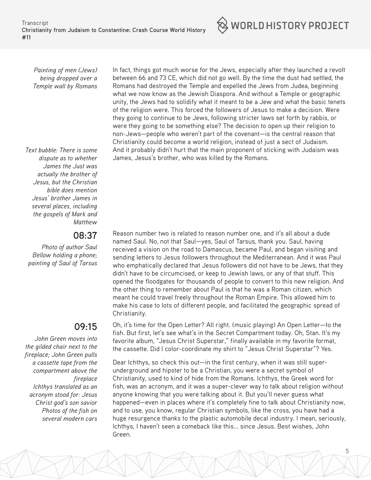*Painting of men (Jews) being dropped over a Temple wall by Romans*

*Text bubble: There is some dispute as to whether James the Just was actually the brother of Jesus, but the Christian bible does mention Jesus' brother James in several places, including the gospels of Mark and Matthew*

#### **08:37**

*Photo of author Saul Bellow holding a phone; painting of Saul of Tarsus*

#### **09:15**

*John Green moves into the gilded chair next to the fireplace; John Green pulls a cassette tape from the compartment above the fireplace Ichthys translated as an acronym stood for: Jesus Christ god's son savior Photos of the fish on several modern cars* In fact, things got much worse for the Jews, especially after they launched a revolt between 66 and 73 CE, which did not go well. By the time the dust had settled, the Romans had destroyed the Temple and expelled the Jews from Judea, beginning what we now know as the Jewish Diaspora. And without a Temple or geographic unity, the Jews had to solidify what it meant to be a Jew and what the basic tenets of the religion were. This forced the followers of Jesus to make a decision. Were they going to continue to be Jews, following stricter laws set forth by rabbis, or were they going to be something else? The decision to open up their religion to non-Jews—people who weren't part of the covenant—is the central reason that Christianity could become a world religion, instead of just a sect of Judaism. And it probably didn't hurt that the main proponent of sticking with Judaism was James, Jesus's brother, who was killed by the Romans.

 $\otimes$  world history project

Reason number two is related to reason number one, and it's all about a dude named Saul. No, not that Saul—yes, Saul of Tarsus, thank you. Saul, having received a vision on the road to Damascus, became Paul, and began visiting and sending letters to Jesus followers throughout the Mediterranean. And it was Paul who emphatically declared that Jesus followers did not have to be Jews, that they didn't have to be circumcised, or keep to Jewish laws, or any of that stuff. This opened the floodgates for thousands of people to convert to this new religion. And the other thing to remember about Paul is that he was a Roman citizen, which meant he could travel freely throughout the Roman Empire. This allowed him to make his case to lots of different people, and facilitated the geographic spread of Christianity.

Oh, it's time for the Open Letter? All right. (music playing) An Open Letter—to the fish. But first, let's see what's in the Secret Compartment today. Oh, Stan. It's my favorite album, "Jesus Christ Superstar," finally available in my favorite format, the cassette. Did I color-coordinate my shirt to "Jesus Christ Superstar"? Yes.

Dear Ichthys, so check this out—in the first century, when it was still superunderground and hipster to be a Christian, you were a secret symbol of Christianity, used to kind of hide from the Romans. Ichthys, the Greek word for fish, was an acronym, and it was a super-clever way to talk about religion without anyone knowing that you were talking about it. But you'll never guess what happened—even in places where it's completely fine to talk about Christianity now, and to use, you know, regular Christian symbols, like the cross, you have had a huge resurgence thanks to the plastic automobile decal industry. I mean, seriously, Ichthys, I haven't seen a comeback like this... since Jesus. Best wishes, John Green.